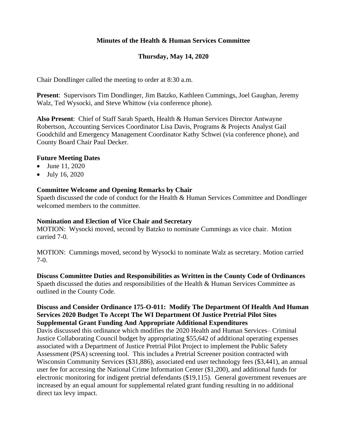# **Minutes of the Health & Human Services Committee**

## **Thursday, May 14, 2020**

Chair Dondlinger called the meeting to order at 8:30 a.m.

**Present**: Supervisors Tim Dondlinger, Jim Batzko, Kathleen Cummings, Joel Gaughan, Jeremy Walz, Ted Wysocki, and Steve Whittow (via conference phone).

**Also Present**: Chief of Staff Sarah Spaeth, Health & Human Services Director Antwayne Robertson, Accounting Services Coordinator Lisa Davis, Programs & Projects Analyst Gail Goodchild and Emergency Management Coordinator Kathy Schwei (via conference phone), and County Board Chair Paul Decker.

## **Future Meeting Dates**

- June 11, 2020
- July 16, 2020

## **Committee Welcome and Opening Remarks by Chair**

Spaeth discussed the code of conduct for the Health & Human Services Committee and Dondlinger welcomed members to the committee.

#### **Nomination and Election of Vice Chair and Secretary**

MOTION: Wysocki moved, second by Batzko to nominate Cummings as vice chair. Motion carried 7-0.

MOTION: Cummings moved, second by Wysocki to nominate Walz as secretary. Motion carried 7-0.

**Discuss Committee Duties and Responsibilities as Written in the County Code of Ordinances** Spaeth discussed the duties and responsibilities of the Health & Human Services Committee as outlined in the County Code.

## **Discuss and Consider Ordinance 175-O-011: Modify The Department Of Health And Human Services 2020 Budget To Accept The WI Department Of Justice Pretrial Pilot Sites Supplemental Grant Funding And Appropriate Additional Expenditures**

Davis discussed this ordinance which modifies the 2020 Health and Human Services– Criminal Justice Collaborating Council budget by appropriating \$55,642 of additional operating expenses associated with a Department of Justice Pretrial Pilot Project to implement the Public Safety Assessment (PSA) screening tool. This includes a Pretrial Screener position contracted with Wisconsin Community Services (\$31,886), associated end user technology fees (\$3,441), an annual user fee for accessing the National Crime Information Center (\$1,200), and additional funds for electronic monitoring for indigent pretrial defendants (\$19,115). General government revenues are increased by an equal amount for supplemental related grant funding resulting in no additional direct tax levy impact.